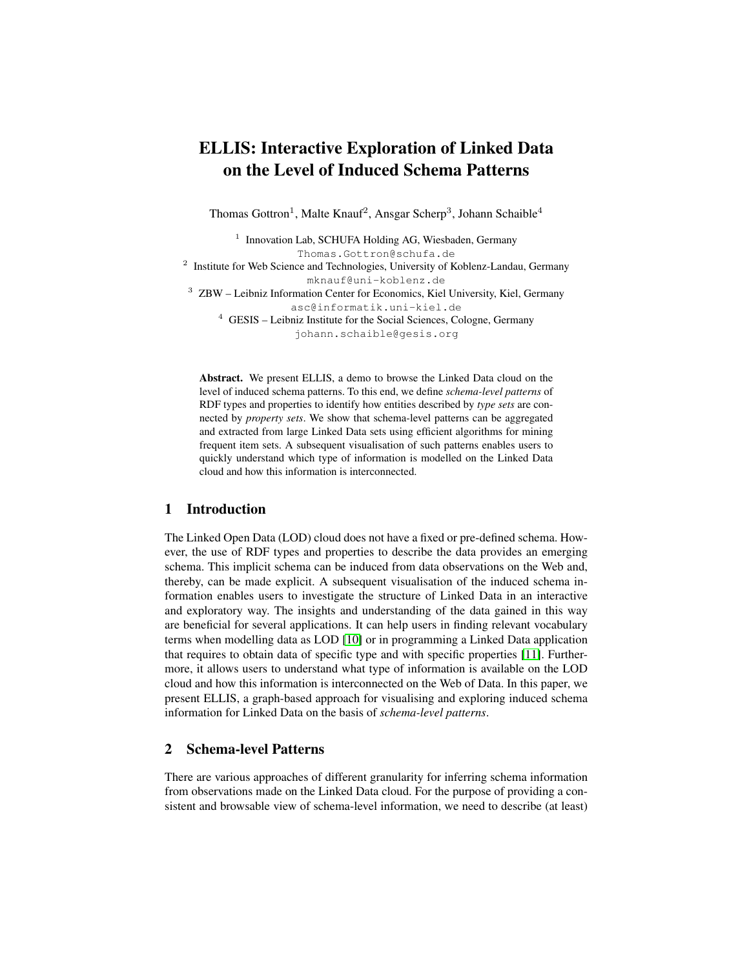# ELLIS: Interactive Exploration of Linked Data on the Level of Induced Schema Patterns

Thomas Gottron<sup>1</sup>, Malte Knauf<sup>2</sup>, Ansgar Scherp<sup>3</sup>, Johann Schaible<sup>4</sup>

<sup>1</sup> Innovation Lab, SCHUFA Holding AG, Wiesbaden, Germany Thomas.Gottron@schufa.de <sup>2</sup> Institute for Web Science and Technologies, University of Koblenz-Landau, Germany mknauf@uni-koblenz.de <sup>3</sup> ZBW – Leibniz Information Center for Economics, Kiel University, Kiel, Germany asc@informatik.uni-kiel.de <sup>4</sup> GESIS – Leibniz Institute for the Social Sciences, Cologne, Germany johann.schaible@gesis.org

Abstract. We present ELLIS, a demo to browse the Linked Data cloud on the level of induced schema patterns. To this end, we define *schema-level patterns* of RDF types and properties to identify how entities described by *type sets* are connected by *property sets*. We show that schema-level patterns can be aggregated and extracted from large Linked Data sets using efficient algorithms for mining frequent item sets. A subsequent visualisation of such patterns enables users to quickly understand which type of information is modelled on the Linked Data cloud and how this information is interconnected.

# 1 Introduction

The Linked Open Data (LOD) cloud does not have a fixed or pre-defined schema. However, the use of RDF types and properties to describe the data provides an emerging schema. This implicit schema can be induced from data observations on the Web and, thereby, can be made explicit. A subsequent visualisation of the induced schema information enables users to investigate the structure of Linked Data in an interactive and exploratory way. The insights and understanding of the data gained in this way are beneficial for several applications. It can help users in finding relevant vocabulary terms when modelling data as LOD [\[10\]](#page-4-0) or in programming a Linked Data application that requires to obtain data of specific type and with specific properties [\[11\]](#page-4-1). Furthermore, it allows users to understand what type of information is available on the LOD cloud and how this information is interconnected on the Web of Data. In this paper, we present ELLIS, a graph-based approach for visualising and exploring induced schema information for Linked Data on the basis of *schema-level patterns*.

## 2 Schema-level Patterns

There are various approaches of different granularity for inferring schema information from observations made on the Linked Data cloud. For the purpose of providing a consistent and browsable view of schema-level information, we need to describe (at least)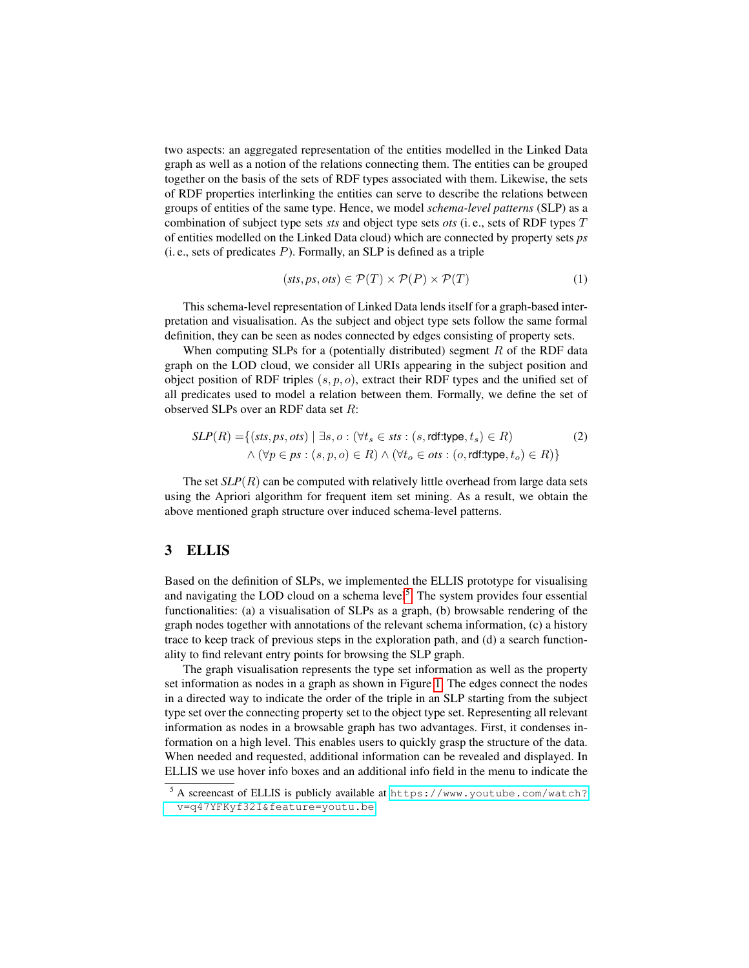two aspects: an aggregated representation of the entities modelled in the Linked Data graph as well as a notion of the relations connecting them. The entities can be grouped together on the basis of the sets of RDF types associated with them. Likewise, the sets of RDF properties interlinking the entities can serve to describe the relations between groups of entities of the same type. Hence, we model *schema-level patterns* (SLP) as a combination of subject type sets *sts* and object type sets *ots* (i. e., sets of RDF types T of entities modelled on the Linked Data cloud) which are connected by property sets *ps*  $(i, e., sets of predicates P)$ . Formally, an SLP is defined as a triple

$$
(sts, ps, ots) \in \mathcal{P}(T) \times \mathcal{P}(P) \times \mathcal{P}(T) \tag{1}
$$

This schema-level representation of Linked Data lends itself for a graph-based interpretation and visualisation. As the subject and object type sets follow the same formal definition, they can be seen as nodes connected by edges consisting of property sets.

When computing SLPs for a (potentially distributed) segment  $R$  of the RDF data graph on the LOD cloud, we consider all URIs appearing in the subject position and object position of RDF triples  $(s, p, o)$ , extract their RDF types and the unified set of all predicates used to model a relation between them. Formally, we define the set of observed SLPs over an RDF data set R:

$$
SLP(R) = \{ (sts, ps, ots) \mid \exists s, o : (\forall t_s \in sts : (s, rdf.type, t_s) \in R) \newline \land (\forall p \in ps : (s, p, o) \in R) \land (\forall t_o \in ots : (o, rdf.type, t_o) \in R) \}
$$
\n(2)

The set  $SLP(R)$  can be computed with relatively little overhead from large data sets using the Apriori algorithm for frequent item set mining. As a result, we obtain the above mentioned graph structure over induced schema-level patterns.

#### 3 ELLIS

Based on the definition of SLPs, we implemented the ELLIS prototype for visualising and navigating the LOD cloud on a schema level<sup>[5](#page-1-0)</sup>. The system provides four essential functionalities: (a) a visualisation of SLPs as a graph, (b) browsable rendering of the graph nodes together with annotations of the relevant schema information, (c) a history trace to keep track of previous steps in the exploration path, and (d) a search functionality to find relevant entry points for browsing the SLP graph.

The graph visualisation represents the type set information as well as the property set information as nodes in a graph as shown in Figure [1.](#page-2-0) The edges connect the nodes in a directed way to indicate the order of the triple in an SLP starting from the subject type set over the connecting property set to the object type set. Representing all relevant information as nodes in a browsable graph has two advantages. First, it condenses information on a high level. This enables users to quickly grasp the structure of the data. When needed and requested, additional information can be revealed and displayed. In ELLIS we use hover info boxes and an additional info field in the menu to indicate the

<span id="page-1-0"></span><sup>5</sup> A screencast of ELLIS is publicly available at [https://www.youtube.com/watch?](https://www.youtube.com/watch?v=q47YFKyf32I&feature=youtu.be) [v=q47YFKyf32I&feature=youtu.be](https://www.youtube.com/watch?v=q47YFKyf32I&feature=youtu.be).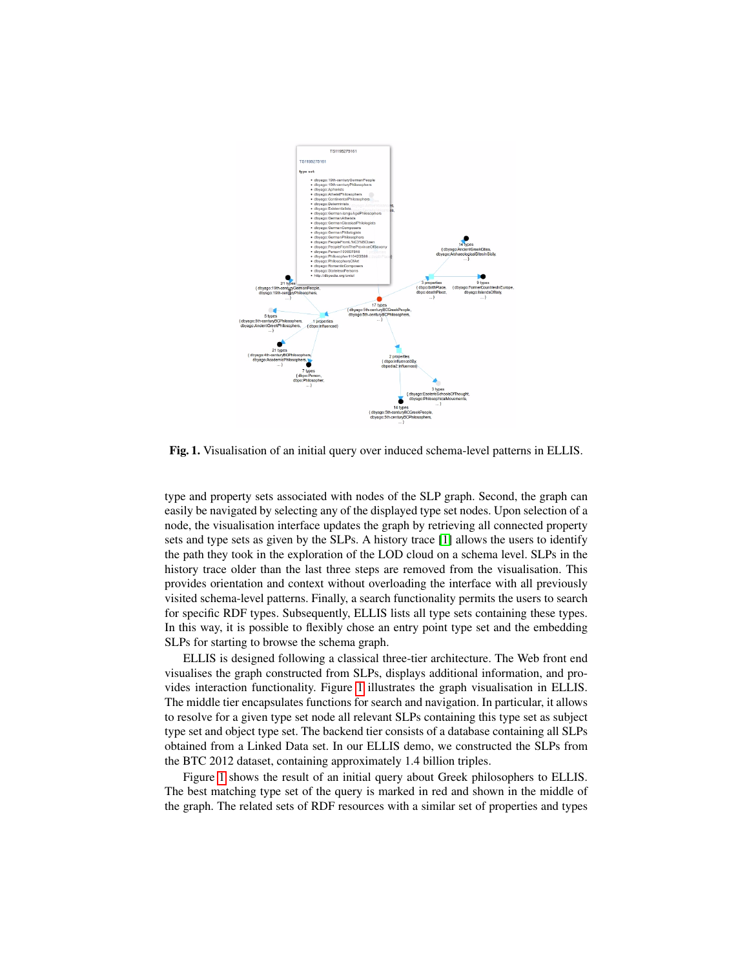

<span id="page-2-0"></span>Fig. 1. Visualisation of an initial query over induced schema-level patterns in ELLIS.

type and property sets associated with nodes of the SLP graph. Second, the graph can easily be navigated by selecting any of the displayed type set nodes. Upon selection of a node, the visualisation interface updates the graph by retrieving all connected property sets and type sets as given by the SLPs. A history trace [\[1\]](#page-4-2) allows the users to identify the path they took in the exploration of the LOD cloud on a schema level. SLPs in the history trace older than the last three steps are removed from the visualisation. This provides orientation and context without overloading the interface with all previously visited schema-level patterns. Finally, a search functionality permits the users to search for specific RDF types. Subsequently, ELLIS lists all type sets containing these types. In this way, it is possible to flexibly chose an entry point type set and the embedding SLPs for starting to browse the schema graph.

ELLIS is designed following a classical three-tier architecture. The Web front end visualises the graph constructed from SLPs, displays additional information, and provides interaction functionality. Figure [1](#page-2-0) illustrates the graph visualisation in ELLIS. The middle tier encapsulates functions for search and navigation. In particular, it allows to resolve for a given type set node all relevant SLPs containing this type set as subject type set and object type set. The backend tier consists of a database containing all SLPs obtained from a Linked Data set. In our ELLIS demo, we constructed the SLPs from the BTC 2012 dataset, containing approximately 1.4 billion triples.

Figure [1](#page-2-0) shows the result of an initial query about Greek philosophers to ELLIS. The best matching type set of the query is marked in red and shown in the middle of the graph. The related sets of RDF resources with a similar set of properties and types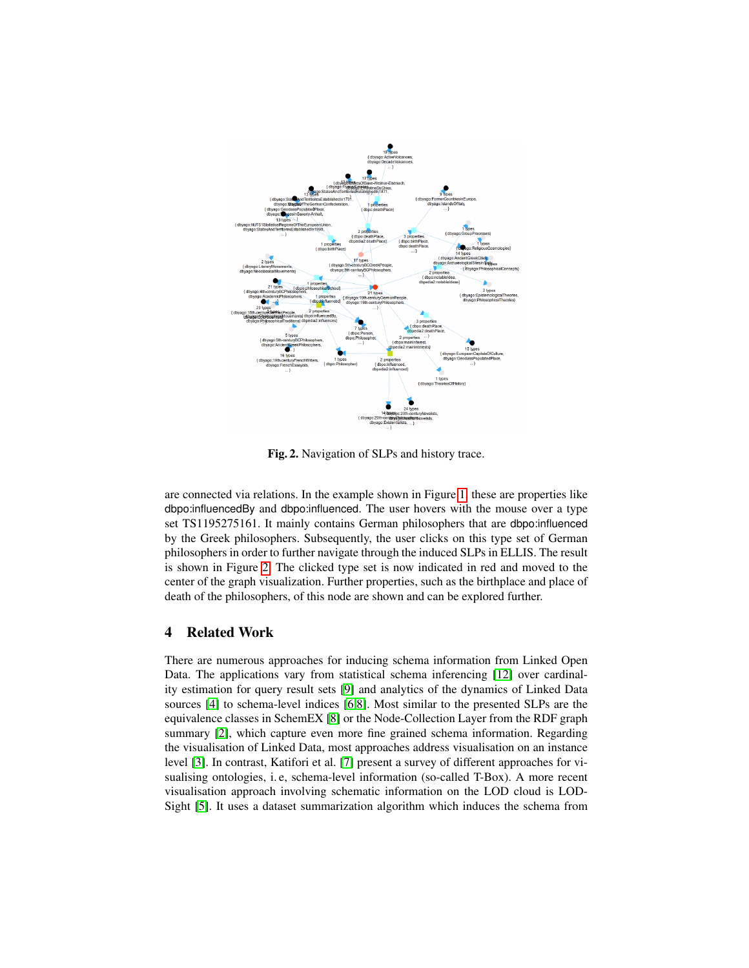

<span id="page-3-0"></span>Fig. 2. Navigation of SLPs and history trace.

are connected via relations. In the example shown in Figure [1,](#page-2-0) these are properties like dbpo:influencedBy and dbpo:influenced. The user hovers with the mouse over a type set TS1195275161. It mainly contains German philosophers that are dbpo:influenced by the Greek philosophers. Subsequently, the user clicks on this type set of German philosophers in order to further navigate through the induced SLPs in ELLIS. The result is shown in Figure [2.](#page-3-0) The clicked type set is now indicated in red and moved to the center of the graph visualization. Further properties, such as the birthplace and place of death of the philosophers, of this node are shown and can be explored further.

## 4 Related Work

There are numerous approaches for inducing schema information from Linked Open Data. The applications vary from statistical schema inferencing [\[12\]](#page-4-3) over cardinality estimation for query result sets [\[9\]](#page-4-4) and analytics of the dynamics of Linked Data sources [\[4\]](#page-4-5) to schema-level indices [\[6,](#page-4-6)[8\]](#page-4-7). Most similar to the presented SLPs are the equivalence classes in SchemEX [\[8\]](#page-4-7) or the Node-Collection Layer from the RDF graph summary [\[2\]](#page-4-8), which capture even more fine grained schema information. Regarding the visualisation of Linked Data, most approaches address visualisation on an instance level [\[3\]](#page-4-9). In contrast, Katifori et al. [\[7\]](#page-4-10) present a survey of different approaches for visualising ontologies, i. e, schema-level information (so-called T-Box). A more recent visualisation approach involving schematic information on the LOD cloud is LOD-Sight [\[5\]](#page-4-11). It uses a dataset summarization algorithm which induces the schema from